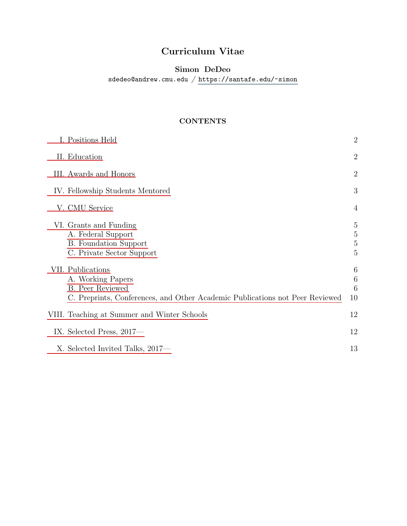# Curriculum Vitae

# Simon DeDeo

 $\verb|sdedeo@andrew.cmu.edu| /\verb|https://santafe.edu/~simon|$  $\verb|sdedeo@andrew.cmu.edu| /\verb|https://santafe.edu/~simon|$  $\verb|sdedeo@andrew.cmu.edu| /\verb|https://santafe.edu/~simon|$ 

# **CONTENTS**

| I. Positions Held                                                                                                                                 | $\overline{2}$                                          |
|---------------------------------------------------------------------------------------------------------------------------------------------------|---------------------------------------------------------|
| II. Education                                                                                                                                     | $\overline{2}$                                          |
| III. Awards and Honors                                                                                                                            | $\overline{2}$                                          |
| IV. Fellowship Students Mentored                                                                                                                  | 3                                                       |
| V. CMU Service                                                                                                                                    | $\overline{4}$                                          |
| VI. Grants and Funding<br>A. Federal Support<br><b>B.</b> Foundation Support<br>C. Private Sector Support                                         | $\overline{5}$<br>$\overline{5}$<br>$\overline{5}$<br>5 |
| VII. Publications<br>A. Working Papers<br><b>B.</b> Peer Reviewed<br>C. Preprints, Conferences, and Other Academic Publications not Peer Reviewed | 6<br>$\,6\,$<br>6<br>10                                 |
| VIII. Teaching at Summer and Winter Schools                                                                                                       | 12                                                      |
| IX. Selected Press, 2017—                                                                                                                         | 12                                                      |
| X. Selected Invited Talks, 2017—                                                                                                                  | 13                                                      |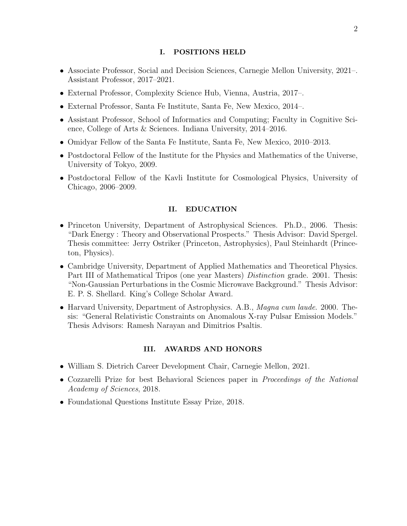### <span id="page-1-0"></span>I. POSITIONS HELD

- Associate Professor, Social and Decision Sciences, Carnegie Mellon University, 2021–. Assistant Professor, 2017–2021.
- External Professor, Complexity Science Hub, Vienna, Austria, 2017–.
- External Professor, Santa Fe Institute, Santa Fe, New Mexico, 2014–.
- Assistant Professor, School of Informatics and Computing; Faculty in Cognitive Science, College of Arts & Sciences. Indiana University, 2014–2016.
- Omidyar Fellow of the Santa Fe Institute, Santa Fe, New Mexico, 2010–2013.
- Postdoctoral Fellow of the Institute for the Physics and Mathematics of the Universe, University of Tokyo, 2009.
- Postdoctoral Fellow of the Kavli Institute for Cosmological Physics, University of Chicago, 2006–2009.

# <span id="page-1-1"></span>II. EDUCATION

- Princeton University, Department of Astrophysical Sciences. Ph.D., 2006. Thesis: "Dark Energy : Theory and Observational Prospects." Thesis Advisor: David Spergel. Thesis committee: Jerry Ostriker (Princeton, Astrophysics), Paul Steinhardt (Princeton, Physics).
- Cambridge University, Department of Applied Mathematics and Theoretical Physics. Part III of Mathematical Tripos (one year Masters) *Distinction* grade. 2001. Thesis: "Non-Gaussian Perturbations in the Cosmic Microwave Background." Thesis Advisor: E. P. S. Shellard. King's College Scholar Award.
- Harvard University, Department of Astrophysics. A.B., *Magna cum laude.* 2000. Thesis: "General Relativistic Constraints on Anomalous X-ray Pulsar Emission Models." Thesis Advisors: Ramesh Narayan and Dimitrios Psaltis.

# <span id="page-1-2"></span>III. AWARDS AND HONORS

- William S. Dietrich Career Development Chair, Carnegie Mellon, 2021.
- Cozzarelli Prize for best Behavioral Sciences paper in Proceedings of the National Academy of Sciences, 2018.
- Foundational Questions Institute Essay Prize, 2018.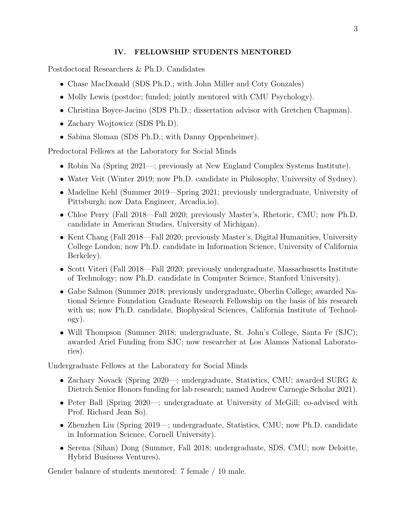# <span id="page-2-0"></span>IV. FELLOWSHIP STUDENTS MENTORED

Postdoctoral Researchers & Ph.D. Candidates

- Chase MacDonald (SDS Ph.D.; with John Miller and Coty Gonzales)
- Molly Lewis (postdoc; funded; jointly mentored with CMU Psychology).
- Christina Boyce-Jacino (SDS Ph.D.; dissertation advisor with Gretchen Chapman).
- Zachary Wojtowicz (SDS Ph.D).
- Sabina Sloman (SDS Ph.D.; with Danny Oppenheimer).

Predoctoral Fellows at the Laboratory for Social Minds

- Robin Na (Spring 2021—; previously at New England Complex Systems Institute).
- Water Veit (Winter 2019; now Ph.D. candidate in Philosophy, University of Sydney).
- Madeline Kehl (Summer 2019—Spring 2021; previously undergraduate, University of Pittsburgh; now Data Engineer, Arcadia.io).
- Chloe Perry (Fall 2018—Fall 2020; previously Master's, Rhetoric, CMU; now Ph.D. candidate in American Studies, University of Michigan).
- Kent Chang (Fall 2018—Fall 2020; previously Master's, Digital Humanities, University College London; now Ph.D. candidate in Information Science, University of California Berkeley).
- Scott Viteri (Fall 2018—Fall 2020; previously undergraduate, Massachusetts Institute of Technology; now Ph.D. candidate in Computer Science, Stanford University).
- Gabe Salmon (Summer 2018; previously undergraduate, Oberlin College; awarded National Science Foundation Graduate Research Fellowship on the basis of his research with us; now Ph.D. candidate, Biophysical Sciences, California Institute of Technology).
- Will Thompson (Summer 2018; undergraduate, St. John's College, Santa Fe (SJC); awarded Ariel Funding from SJC; now researcher at Los Alamos National Laboratories).

Undergraduate Fellows at the Laboratory for Social Minds

- Zachary Novack (Spring 2020—; undergraduate, Statistics, CMU; awarded SURG & Dietrch Senior Honors funding for lab research; named Andrew Carnegie Scholar 2021).
- Peter Ball (Spring 2020—; undergraduate at University of McGill; co-advised with Prof. Richard Jean So).
- Zhenzhen Liu (Spring 2019—; undergraduate, Statistics, CMU; now Ph.D. candidate in Information Science, Cornell University).
- Serena (Sihan) Dong (Summer, Fall 2018; undergraduate, SDS, CMU; now Deloitte, Hybrid Business Ventures).

Gender balance of students mentored: 7 female / 10 male.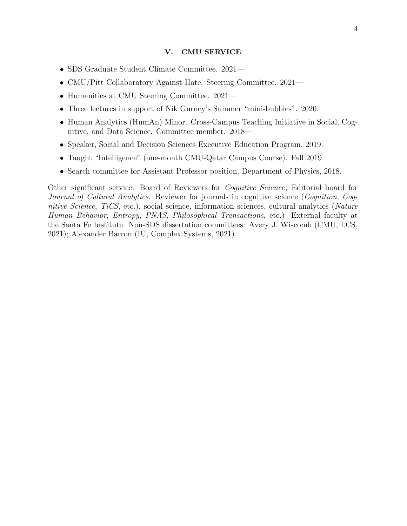### <span id="page-3-0"></span>V. CMU SERVICE

- SDS Graduate Student Climate Committee. 2021—
- CMU/Pitt Collaboratory Against Hate. Steering Committee. 2021—
- Humanities at CMU Steering Committee. 2021—
- Three lectures in support of Nik Gurney's Summer "mini-bubbles". 2020.
- Human Analytics (HumAn) Minor. Cross-Campus Teaching Initiative in Social, Cognitive, and Data Science. Committee member. 2018—
- Speaker, Social and Decision Sciences Executive Education Program, 2019.
- Taught "Intelligence" (one-month CMU-Qatar Campus Course). Fall 2019.
- Search committee for Assistant Professor position, Department of Physics, 2018.

Other significant service: Board of Reviewers for Cognitive Science; Editorial board for Journal of Cultural Analytics. Reviewer for journals in cognitive science (Cognition, Cognitive Science, TiCS, etc.), social science, information sciences, cultural analytics (Nature Human Behavior, Entropy, PNAS, Philosophical Transactions, etc.) External faculty at the Santa Fe Institute. Non-SDS dissertation committees: Avery J. Wiscomb (CMU, LCS, 2021); Alexander Barron (IU, Complex Systems, 2021).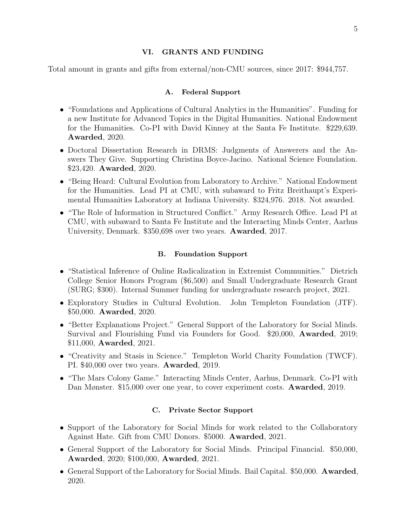### <span id="page-4-0"></span>VI. GRANTS AND FUNDING

Total amount in grants and gifts from external/non-CMU sources, since 2017: \$944,757.

#### <span id="page-4-1"></span>A. Federal Support

- "Foundations and Applications of Cultural Analytics in the Humanities". Funding for a new Institute for Advanced Topics in the Digital Humanities. National Endowment for the Humanities. Co-PI with David Kinney at the Santa Fe Institute. \$229,639. Awarded, 2020.
- Doctoral Dissertation Research in DRMS: Judgments of Answerers and the Answers They Give. Supporting Christina Boyce-Jacino. National Science Foundation. \$23,420. Awarded, 2020.
- "Being Heard: Cultural Evolution from Laboratory to Archive." National Endowment for the Humanities. Lead PI at CMU, with subaward to Fritz Breithaupt's Experimental Humanities Laboratory at Indiana University. \$324,976. 2018. Not awarded.
- "The Role of Information in Structured Conflict." Army Research Office. Lead PI at CMU, with subaward to Santa Fe Institute and the Interacting Minds Center, Aarhus University, Denmark. \$350,698 over two years. Awarded, 2017.

#### <span id="page-4-2"></span>B. Foundation Support

- "Statistical Inference of Online Radicalization in Extremist Communities." Dietrich College Senior Honors Program (\$6,500) and Small Undergraduate Research Grant (SURG; \$300). Internal Summer funding for undergraduate research project, 2021.
- Exploratory Studies in Cultural Evolution. John Templeton Foundation (JTF). \$50,000. Awarded, 2020.
- "Better Explanations Project." General Support of the Laboratory for Social Minds. Survival and Flourishing Fund via Founders for Good. \$20,000, Awarded, 2019; \$11,000, Awarded, 2021.
- "Creativity and Stasis in Science." Templeton World Charity Foundation (TWCF). PI. \$40,000 over two years. **Awarded**, 2019.
- "The Mars Colony Game." Interacting Minds Center, Aarhus, Denmark. Co-PI with Dan Mønster. \$15,000 over one year, to cover experiment costs. **Awarded**, 2019.

#### <span id="page-4-3"></span>C. Private Sector Support

- Support of the Laboratory for Social Minds for work related to the Collaboratory Against Hate. Gift from CMU Donors. \$5000. Awarded, 2021.
- General Support of the Laboratory for Social Minds. Principal Financial. \$50,000, Awarded, 2020; \$100,000, Awarded, 2021.
- General Support of the Laboratory for Social Minds. Bail Capital. \$50,000. **Awarded**, 2020.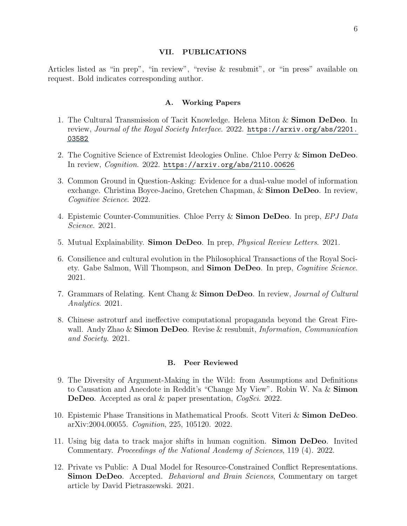#### <span id="page-5-0"></span>VII. PUBLICATIONS

Articles listed as "in prep", "in review", "revise & resubmit", or "in press" available on request. Bold indicates corresponding author.

### <span id="page-5-1"></span>A. Working Papers

- 1. The Cultural Transmission of Tacit Knowledge. Helena Miton & Simon DeDeo. In review, Journal of the Royal Society Interface. 2022. [https://arxiv.org/abs/2201.](https://arxiv.org/abs/2201.03582) [03582](https://arxiv.org/abs/2201.03582)
- 2. The Cognitive Science of Extremist Ideologies Online. Chloe Perry & Simon DeDeo. In review, Cognition. 2022. <https://arxiv.org/abs/2110.00626>
- 3. Common Ground in Question-Asking: Evidence for a dual-value model of information exchange. Christina Boyce-Jacino, Gretchen Chapman, & Simon DeDeo. In review, Cognitive Science. 2022.
- 4. Epistemic Counter-Communities. Chloe Perry & Simon DeDeo. In prep, EPJ Data Science. 2021.
- 5. Mutual Explainability. Simon DeDeo. In prep, Physical Review Letters. 2021.
- 6. Consilience and cultural evolution in the Philosophical Transactions of the Royal Society. Gabe Salmon, Will Thompson, and **Simon DeDeo**. In prep, *Cognitive Science*. 2021.
- 7. Grammars of Relating. Kent Chang & Simon DeDeo. In review, Journal of Cultural Analytics. 2021.
- 8. Chinese astroturf and ineffective computational propaganda beyond the Great Firewall. Andy Zhao  $\&$  Simon DeDeo. Revise  $\&$  resubmit, *Information, Communication* and Society. 2021.

# <span id="page-5-2"></span>B. Peer Reviewed

- 9. The Diversity of Argument-Making in the Wild: from Assumptions and Definitions to Causation and Anecdote in Reddit's "Change My View". Robin W. Na & Simon DeDeo. Accepted as oral & paper presentation, CogSci. 2022.
- 10. Epistemic Phase Transitions in Mathematical Proofs. Scott Viteri & Simon DeDeo. arXiv:2004.00055. Cognition, 225, 105120. 2022.
- 11. Using big data to track major shifts in human cognition. Simon DeDeo. Invited Commentary. Proceedings of the National Academy of Sciences, 119 (4). 2022.
- 12. Private vs Public: A Dual Model for Resource-Constrained Conflict Representations. Simon DeDeo. Accepted. Behavioral and Brain Sciences, Commentary on target article by David Pietraszewski. 2021.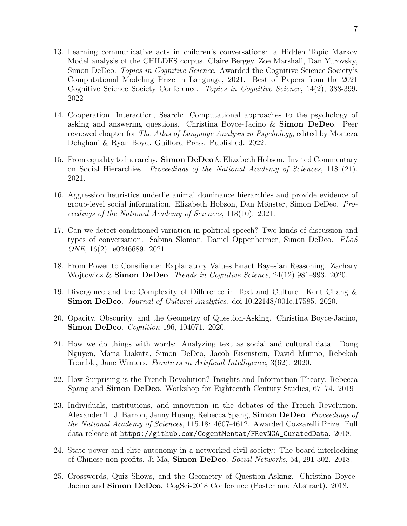- 13. Learning communicative acts in children's conversations: a Hidden Topic Markov Model analysis of the CHILDES corpus. Claire Bergey, Zoe Marshall, Dan Yurovsky, Simon DeDeo. Topics in Cognitive Science. Awarded the Cognitive Science Society's Computational Modeling Prize in Language, 2021. Best of Papers from the 2021 Cognitive Science Society Conference. Topics in Cognitive Science, 14(2), 388-399. 2022
- 14. Cooperation, Interaction, Search: Computational approaches to the psychology of asking and answering questions. Christina Boyce-Jacino & Simon DeDeo. Peer reviewed chapter for *The Atlas of Language Analysis in Psychology*, edited by Morteza Dehghani & Ryan Boyd. Guilford Press. Published. 2022.
- 15. From equality to hierarchy. Simon DeDeo  $\&$  Elizabeth Hobson. Invited Commentary on Social Hierarchies. Proceedings of the National Academy of Sciences, 118 (21). 2021.
- 16. Aggression heuristics underlie animal dominance hierarchies and provide evidence of group-level social information. Elizabeth Hobson, Dan Mønster, Simon DeDeo. Proceedings of the National Academy of Sciences, 118(10). 2021.
- 17. Can we detect conditioned variation in political speech? Two kinds of discussion and types of conversation. Sabina Sloman, Daniel Oppenheimer, Simon DeDeo. PLoS ONE, 16(2). e0246689. 2021.
- 18. From Power to Consilience: Explanatory Values Enact Bayesian Reasoning. Zachary Wojtowicz  $\&$  Simon DeDeo. Trends in Cognitive Science, 24(12) 981–993. 2020.
- 19. Divergence and the Complexity of Difference in Text and Culture. Kent Chang & Simon DeDeo. Journal of Cultural Analytics. doi:10.22148/001c.17585. 2020.
- 20. Opacity, Obscurity, and the Geometry of Question-Asking. Christina Boyce-Jacino, Simon DeDeo. Cognition 196, 104071. 2020.
- 21. How we do things with words: Analyzing text as social and cultural data. Dong Nguyen, Maria Liakata, Simon DeDeo, Jacob Eisenstein, David Mimno, Rebekah Tromble, Jane Winters. Frontiers in Artificial Intelligence, 3(62). 2020.
- 22. How Surprising is the French Revolution? Insights and Information Theory. Rebecca Spang and Simon DeDeo. Workshop for Eighteenth Century Studies, 67–74. 2019
- 23. Individuals, institutions, and innovation in the debates of the French Revolution. Alexander T. J. Barron, Jenny Huang, Rebecca Spang, **Simon DeDeo**. *Proceedings of* the National Academy of Sciences, 115.18: 4607-4612. Awarded Cozzarelli Prize. Full data release at [https://github.com/CogentMentat/FRevNCA\\_CuratedData](https://github.com/CogentMentat/FRevNCA_CuratedData). 2018.
- 24. State power and elite autonomy in a networked civil society: The board interlocking of Chinese non-profits. Ji Ma, Simon DeDeo. Social Networks, 54, 291-302. 2018.
- 25. Crosswords, Quiz Shows, and the Geometry of Question-Asking. Christina Boyce-Jacino and **Simon DeDeo**. CogSci-2018 Conference (Poster and Abstract). 2018.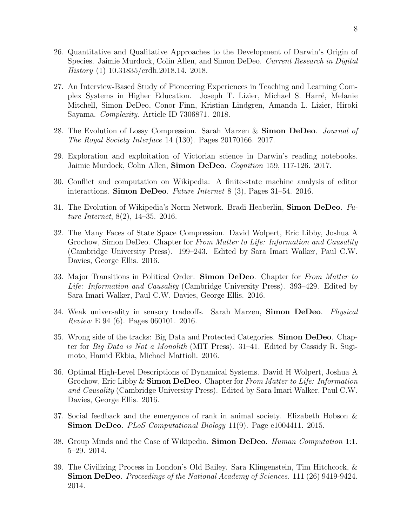- 26. Quantitative and Qualitative Approaches to the Development of Darwin's Origin of Species. Jaimie Murdock, Colin Allen, and Simon DeDeo. Current Research in Digital History (1) 10.31835/crdh.2018.14. 2018.
- 27. An Interview-Based Study of Pioneering Experiences in Teaching and Learning Complex Systems in Higher Education. Joseph T. Lizier, Michael S. Harré, Melanie Mitchell, Simon DeDeo, Conor Finn, Kristian Lindgren, Amanda L. Lizier, Hiroki Sayama. Complexity. Article ID 7306871. 2018.
- 28. The Evolution of Lossy Compression. Sarah Marzen & Simon DeDeo. Journal of The Royal Society Interface 14 (130). Pages 20170166. 2017.
- 29. Exploration and exploitation of Victorian science in Darwin's reading notebooks. Jaimie Murdock, Colin Allen, Simon DeDeo. Cognition 159, 117-126. 2017.
- 30. Conflict and computation on Wikipedia: A finite-state machine analysis of editor interactions. Simon DeDeo. Future Internet 8 (3), Pages 31–54. 2016.
- 31. The Evolution of Wikipedia's Norm Network. Bradi Heaberlin, Simon DeDeo. Future Internet, 8(2), 14–35. 2016.
- 32. The Many Faces of State Space Compression. David Wolpert, Eric Libby, Joshua A Grochow, Simon DeDeo. Chapter for From Matter to Life: Information and Causality (Cambridge University Press). 199–243. Edited by Sara Imari Walker, Paul C.W. Davies, George Ellis. 2016.
- 33. Major Transitions in Political Order. Simon DeDeo. Chapter for From Matter to Life: Information and Causality (Cambridge University Press). 393–429. Edited by Sara Imari Walker, Paul C.W. Davies, George Ellis. 2016.
- 34. Weak universality in sensory tradeoffs. Sarah Marzen, Simon DeDeo. Physical Review E 94 (6). Pages 060101. 2016.
- 35. Wrong side of the tracks: Big Data and Protected Categories. Simon DeDeo. Chapter for Big Data is Not a Monolith (MIT Press). 31–41. Edited by Cassidy R. Sugimoto, Hamid Ekbia, Michael Mattioli. 2016.
- 36. Optimal High-Level Descriptions of Dynamical Systems. David H Wolpert, Joshua A Grochow, Eric Libby  $\&$  Simon DeDeo. Chapter for From Matter to Life: Information and Causality (Cambridge University Press). Edited by Sara Imari Walker, Paul C.W. Davies, George Ellis. 2016.
- 37. Social feedback and the emergence of rank in animal society. Elizabeth Hobson & Simon DeDeo. *PLoS Computational Biology* 11(9). Page e1004411. 2015.
- 38. Group Minds and the Case of Wikipedia. Simon DeDeo. Human Computation 1:1. 5–29. 2014.
- 39. The Civilizing Process in London's Old Bailey. Sara Klingenstein, Tim Hitchcock, & Simon DeDeo. Proceedings of the National Academy of Sciences. 111 (26) 9419-9424. 2014.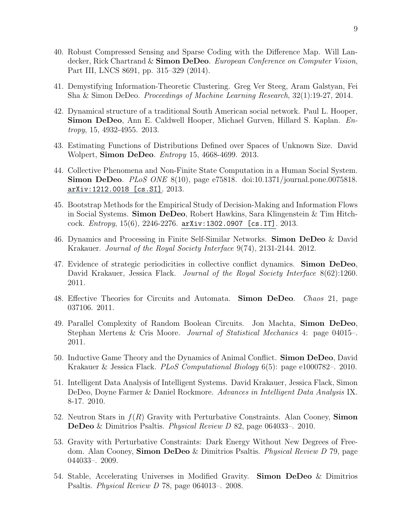- 40. Robust Compressed Sensing and Sparse Coding with the Difference Map. Will Landecker, Rick Chartrand & Simon DeDeo. European Conference on Computer Vision, Part III, LNCS 8691, pp. 315–329 (2014).
- 41. Demystifying Information-Theoretic Clustering. Greg Ver Steeg, Aram Galstyan, Fei Sha & Simon DeDeo. Proceedings of Machine Learning Research, 32(1):19-27, 2014.
- 42. Dynamical structure of a traditional South American social network. Paul L. Hooper, Simon DeDeo, Ann E. Caldwell Hooper, Michael Gurven, Hillard S. Kaplan. Entropy, 15, 4932-4955. 2013.
- 43. Estimating Functions of Distributions Defined over Spaces of Unknown Size. David Wolpert, **Simon DeDeo**. *Entropy* 15, 4668-4699. 2013.
- 44. Collective Phenomena and Non-Finite State Computation in a Human Social System. Simon DeDeo. PLoS ONE 8(10), page e75818. doi:10.1371/journal.pone.0075818. [arXiv:1212.0018 \[cs.SI\]](https://arxiv.org/abs/1212.0018). 2013.
- 45. Bootstrap Methods for the Empirical Study of Decision-Making and Information Flows in Social Systems. Simon DeDeo, Robert Hawkins, Sara Klingenstein & Tim Hitchcock. Entropy, 15(6), 2246-2276. [arXiv:1302.0907 \[cs.IT\]](https://arxiv.org/abs/1302.0907). 2013.
- 46. Dynamics and Processing in Finite Self-Similar Networks. Simon DeDeo & David Krakauer. Journal of the Royal Society Interface 9(74), 2131-2144. 2012.
- 47. Evidence of strategic periodicities in collective conflict dynamics. Simon DeDeo, David Krakauer, Jessica Flack. *Journal of the Royal Society Interface* 8(62):1260. 2011.
- 48. Effective Theories for Circuits and Automata. Simon DeDeo. Chaos 21, page 037106. 2011.
- 49. Parallel Complexity of Random Boolean Circuits. Jon Machta, Simon DeDeo, Stephan Mertens & Cris Moore. Journal of Statistical Mechanics 4: page 04015–. 2011.
- 50. Inductive Game Theory and the Dynamics of Animal Conflict. Simon DeDeo, David Krakauer & Jessica Flack. PLoS Computational Biology 6(5): page e1000782–. 2010.
- 51. Intelligent Data Analysis of Intelligent Systems. David Krakauer, Jessica Flack, Simon DeDeo, Doyne Farmer & Daniel Rockmore. Advances in Intelligent Data Analysis IX. 8-17. 2010.
- 52. Neutron Stars in  $f(R)$  Gravity with Perturbative Constraints. Alan Cooney, Simon DeDeo & Dimitrios Psaltis. Physical Review D 82, page 064033–. 2010.
- 53. Gravity with Perturbative Constraints: Dark Energy Without New Degrees of Freedom. Alan Cooney, **Simon DeDeo** & Dimitrios Psaltis. *Physical Review D* 79, page 044033–. 2009.
- 54. Stable, Accelerating Universes in Modified Gravity. Simon DeDeo & Dimitrios Psaltis. Physical Review D 78, page 064013–. 2008.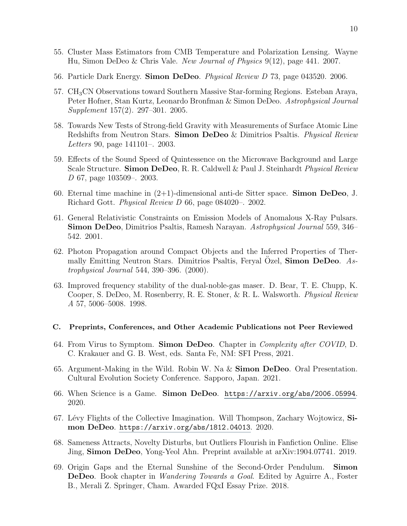- 55. Cluster Mass Estimators from CMB Temperature and Polarization Lensing. Wayne Hu, Simon DeDeo & Chris Vale. New Journal of Physics 9(12), page 441. 2007.
- 56. Particle Dark Energy. Simon DeDeo. Physical Review D 73, page 043520. 2006.
- 57. CH3CN Observations toward Southern Massive Star-forming Regions. Esteban Araya, Peter Hofner, Stan Kurtz, Leonardo Bronfman & Simon DeDeo. Astrophysical Journal Supplement 157(2). 297–301. 2005.
- 58. Towards New Tests of Strong-field Gravity with Measurements of Surface Atomic Line Redshifts from Neutron Stars. Simon DeDeo & Dimitrios Psaltis. *Physical Review* Letters 90, page 141101–. 2003.
- 59. Effects of the Sound Speed of Quintessence on the Microwave Background and Large Scale Structure. Simon DeDeo, R. R. Caldwell & Paul J. Steinhardt *Physical Review* D 67, page 103509–. 2003.
- 60. Eternal time machine in  $(2+1)$ -dimensional anti-de Sitter space. **Simon DeDeo**, J. Richard Gott. Physical Review D 66, page 084020–. 2002.
- 61. General Relativistic Constraints on Emission Models of Anomalous X-Ray Pulsars. Simon DeDeo, Dimitrios Psaltis, Ramesh Narayan. Astrophysical Journal 559, 346– 542. 2001.
- 62. Photon Propagation around Compact Objects and the Inferred Properties of Thermally Emitting Neutron Stars. Dimitrios Psaltis, Feryal Ozel, **Simon DeDeo.** Astrophysical Journal 544, 390–396. (2000).
- 63. Improved frequency stability of the dual-noble-gas maser. D. Bear, T. E. Chupp, K. Cooper, S. DeDeo, M. Rosenberry, R. E. Stoner, & R. L. Walsworth. Physical Review A 57, 5006–5008. 1998.

#### <span id="page-9-0"></span>C. Preprints, Conferences, and Other Academic Publications not Peer Reviewed

- 64. From Virus to Symptom. Simon DeDeo. Chapter in Complexity after COVID, D. C. Krakauer and G. B. West, eds. Santa Fe, NM: SFI Press, 2021.
- 65. Argument-Making in the Wild. Robin W. Na & Simon DeDeo. Oral Presentation. Cultural Evolution Society Conference. Sapporo, Japan. 2021.
- 66. When Science is a Game. Simon DeDeo. <https://arxiv.org/abs/2006.05994>. 2020.
- 67. Lévy Flights of the Collective Imagination. Will Thompson, Zachary Wojtowicz, Simon DeDeo. [https://arxiv.org/abs/1812.04013](https: //arxiv.org/abs/1812.04013). 2020.
- 68. Sameness Attracts, Novelty Disturbs, but Outliers Flourish in Fanfiction Online. Elise Jing, Simon DeDeo, Yong-Yeol Ahn. Preprint available at arXiv:1904.07741. 2019.
- 69. Origin Gaps and the Eternal Sunshine of the Second-Order Pendulum. Simon **DeDeo.** Book chapter in *Wandering Towards a Goal*. Edited by Aguirre A., Foster B., Merali Z. Springer, Cham. Awarded FQxI Essay Prize. 2018.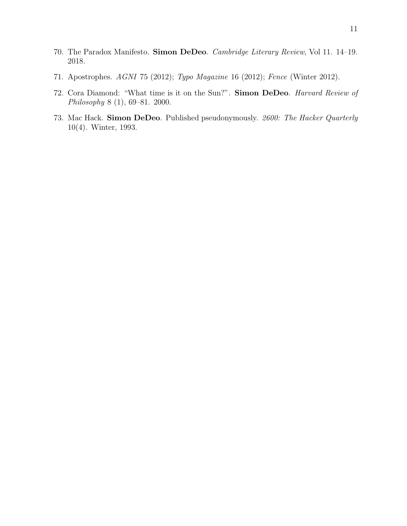- 70. The Paradox Manifesto. Simon DeDeo. Cambridge Literary Review, Vol 11. 14–19. 2018.
- 71. Apostrophes. AGNI 75 (2012); Typo Magazine 16 (2012); Fence (Winter 2012).
- 72. Cora Diamond: "What time is it on the Sun?". Simon DeDeo. Harvard Review of Philosophy 8 (1), 69–81. 2000.
- 73. Mac Hack. Simon DeDeo. Published pseudonymously. 2600: The Hacker Quarterly 10(4). Winter, 1993.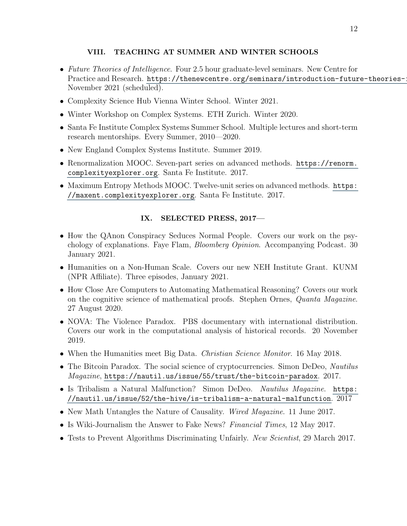# <span id="page-11-0"></span>VIII. TEACHING AT SUMMER AND WINTER SCHOOLS

- Future Theories of Intelligence. Four 2.5 hour graduate-level seminars. New Centre for Practice and Research. https://thenewcentre.org/seminars/introduction-future-theories-: November 2021 (scheduled).
- Complexity Science Hub Vienna Winter School. Winter 2021.
- Winter Workshop on Complex Systems. ETH Zurich. Winter 2020.
- Santa Fe Institute Complex Systems Summer School. Multiple lectures and short-term research mentorships. Every Summer, 2010—2020.
- New England Complex Systems Institute. Summer 2019.
- Renormalization MOOC. Seven-part series on advanced methods. [https://renorm.](https://renorm.complexityexplorer.org) [complexityexplorer.org](https://renorm.complexityexplorer.org). Santa Fe Institute. 2017.
- Maximum Entropy Methods MOOC. Twelve-unit series on advanced methods. [https:](https://maxent.complexityexplorer.org) [//maxent.complexityexplorer.org](https://maxent.complexityexplorer.org). Santa Fe Institute. 2017.

# <span id="page-11-1"></span>IX. SELECTED PRESS, 2017—

- How the QAnon Conspiracy Seduces Normal People. Covers our work on the psychology of explanations. Faye Flam, Bloomberg Opinion. Accompanying Podcast. 30 January 2021.
- Humanities on a Non-Human Scale. Covers our new NEH Institute Grant. KUNM (NPR Affiliate). Three episodes, January 2021.
- How Close Are Computers to Automating Mathematical Reasoning? Covers our work on the cognitive science of mathematical proofs. Stephen Ornes, Quanta Magazine. 27 August 2020.
- NOVA: The Violence Paradox. PBS documentary with international distribution. Covers our work in the computational analysis of historical records. 20 November 2019.
- When the Humanities meet Big Data. *Christian Science Monitor*. 16 May 2018.
- The Bitcoin Paradox. The social science of cryptocurrencies. Simon DeDeo, *Nautilus* Magazine, <https://nautil.us/issue/55/trust/the-bitcoin-paradox>. 2017.
- Is Tribalism a Natural Malfunction? Simon DeDeo. Nautilus Magazine. [https:](https://nautil.us/issue/52/the-hive/is-tribalism-a-natural-malfunction) [//nautil.us/issue/52/the-hive/is-tribalism-a-natural-malfunction](https://nautil.us/issue/52/the-hive/is-tribalism-a-natural-malfunction). 2017
- New Math Untangles the Nature of Causality. Wired Magazine. 11 June 2017.
- Is Wiki-Journalism the Answer to Fake News? Financial Times, 12 May 2017.
- Tests to Prevent Algorithms Discriminating Unfairly. New Scientist, 29 March 2017.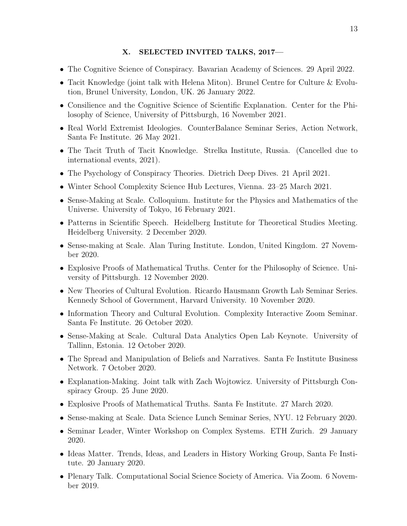# <span id="page-12-0"></span>X. SELECTED INVITED TALKS, 2017—

- The Cognitive Science of Conspiracy. Bavarian Academy of Sciences. 29 April 2022.
- Tacit Knowledge (joint talk with Helena Miton). Brunel Centre for Culture & Evolution, Brunel University, London, UK. 26 January 2022.
- Consilience and the Cognitive Science of Scientific Explanation. Center for the Philosophy of Science, University of Pittsburgh, 16 November 2021.
- Real World Extremist Ideologies. CounterBalance Seminar Series, Action Network, Santa Fe Institute. 26 May 2021.
- The Tacit Truth of Tacit Knowledge. Strelka Institute, Russia. (Cancelled due to international events, 2021).
- The Psychology of Conspiracy Theories. Dietrich Deep Dives. 21 April 2021.
- Winter School Complexity Science Hub Lectures, Vienna. 23–25 March 2021.
- Sense-Making at Scale. Colloquium. Institute for the Physics and Mathematics of the Universe. University of Tokyo, 16 February 2021.
- Patterns in Scientific Speech. Heidelberg Institute for Theoretical Studies Meeting. Heidelberg University. 2 December 2020.
- Sense-making at Scale. Alan Turing Institute. London, United Kingdom. 27 November 2020.
- Explosive Proofs of Mathematical Truths. Center for the Philosophy of Science. University of Pittsburgh. 12 November 2020.
- New Theories of Cultural Evolution. Ricardo Hausmann Growth Lab Seminar Series. Kennedy School of Government, Harvard University. 10 November 2020.
- Information Theory and Cultural Evolution. Complexity Interactive Zoom Seminar. Santa Fe Institute. 26 October 2020.
- Sense-Making at Scale. Cultural Data Analytics Open Lab Keynote. University of Tallinn, Estonia. 12 October 2020.
- The Spread and Manipulation of Beliefs and Narratives. Santa Fe Institute Business Network. 7 October 2020.
- Explanation-Making. Joint talk with Zach Wojtowicz. University of Pittsburgh Conspiracy Group. 25 June 2020.
- Explosive Proofs of Mathematical Truths. Santa Fe Institute. 27 March 2020.
- Sense-making at Scale. Data Science Lunch Seminar Series, NYU. 12 February 2020.
- Seminar Leader, Winter Workshop on Complex Systems. ETH Zurich. 29 January 2020.
- Ideas Matter. Trends, Ideas, and Leaders in History Working Group, Santa Fe Institute. 20 January 2020.
- Plenary Talk. Computational Social Science Society of America. Via Zoom. 6 November 2019.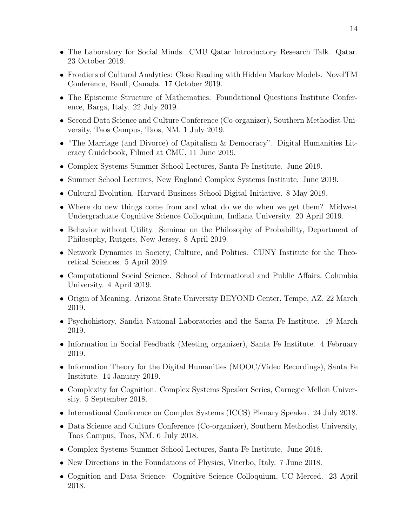- The Laboratory for Social Minds. CMU Qatar Introductory Research Talk. Qatar. 23 October 2019.
- Frontiers of Cultural Analytics: Close Reading with Hidden Markov Models. NovelTM Conference, Banff, Canada. 17 October 2019.
- The Epistemic Structure of Mathematics. Foundational Questions Institute Conference, Barga, Italy. 22 July 2019.
- Second Data Science and Culture Conference (Co-organizer), Southern Methodist University, Taos Campus, Taos, NM. 1 July 2019.
- "The Marriage (and Divorce) of Capitalism & Democracy". Digital Humanities Literacy Guidebook, Filmed at CMU. 11 June 2019.
- Complex Systems Summer School Lectures, Santa Fe Institute. June 2019.
- Summer School Lectures, New England Complex Systems Institute. June 2019.
- Cultural Evolution. Harvard Business School Digital Initiative. 8 May 2019.
- Where do new things come from and what do we do when we get them? Midwest Undergraduate Cognitive Science Colloquium, Indiana University. 20 April 2019.
- Behavior without Utility. Seminar on the Philosophy of Probability, Department of Philosophy, Rutgers, New Jersey. 8 April 2019.
- Network Dynamics in Society, Culture, and Politics. CUNY Institute for the Theoretical Sciences. 5 April 2019.
- Computational Social Science. School of International and Public Affairs, Columbia University. 4 April 2019.
- Origin of Meaning. Arizona State University BEYOND Center, Tempe, AZ. 22 March 2019.
- Psychohistory, Sandia National Laboratories and the Santa Fe Institute. 19 March 2019.
- Information in Social Feedback (Meeting organizer), Santa Fe Institute. 4 February 2019.
- Information Theory for the Digital Humanities (MOOC/Video Recordings), Santa Fe Institute. 14 January 2019.
- Complexity for Cognition. Complex Systems Speaker Series, Carnegie Mellon University. 5 September 2018.
- International Conference on Complex Systems (ICCS) Plenary Speaker. 24 July 2018.
- Data Science and Culture Conference (Co-organizer), Southern Methodist University, Taos Campus, Taos, NM. 6 July 2018.
- Complex Systems Summer School Lectures, Santa Fe Institute. June 2018.
- New Directions in the Foundations of Physics, Viterbo, Italy. 7 June 2018.
- Cognition and Data Science. Cognitive Science Colloquium, UC Merced. 23 April 2018.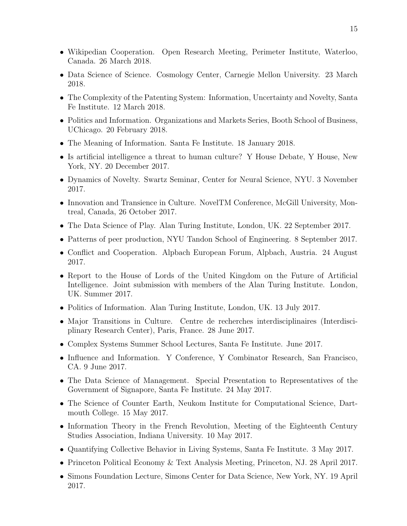- Wikipedian Cooperation. Open Research Meeting, Perimeter Institute, Waterloo, Canada. 26 March 2018.
- Data Science of Science. Cosmology Center, Carnegie Mellon University. 23 March 2018.
- The Complexity of the Patenting System: Information, Uncertainty and Novelty, Santa Fe Institute. 12 March 2018.
- Politics and Information. Organizations and Markets Series, Booth School of Business, UChicago. 20 February 2018.
- The Meaning of Information. Santa Fe Institute. 18 January 2018.
- Is artificial intelligence a threat to human culture? Y House Debate, Y House, New York, NY. 20 December 2017.
- Dynamics of Novelty. Swartz Seminar, Center for Neural Science, NYU. 3 November 2017.
- Innovation and Transience in Culture. NovelTM Conference, McGill University, Montreal, Canada, 26 October 2017.
- The Data Science of Play. Alan Turing Institute, London, UK. 22 September 2017.
- Patterns of peer production, NYU Tandon School of Engineering. 8 September 2017.
- Conflict and Cooperation. Alpbach European Forum, Alpbach, Austria. 24 August 2017.
- Report to the House of Lords of the United Kingdom on the Future of Artificial Intelligence. Joint submission with members of the Alan Turing Institute. London, UK. Summer 2017.
- Politics of Information. Alan Turing Institute, London, UK. 13 July 2017.
- Major Transitions in Culture. Centre de recherches interdisciplinaires (Interdisciplinary Research Center), Paris, France. 28 June 2017.
- Complex Systems Summer School Lectures, Santa Fe Institute. June 2017.
- Influence and Information. Y Conference, Y Combinator Research, San Francisco, CA. 9 June 2017.
- The Data Science of Management. Special Presentation to Representatives of the Government of Signapore, Santa Fe Institute. 24 May 2017.
- The Science of Counter Earth, Neukom Institute for Computational Science, Dartmouth College. 15 May 2017.
- Information Theory in the French Revolution, Meeting of the Eighteenth Century Studies Association, Indiana University. 10 May 2017.
- Quantifying Collective Behavior in Living Systems, Santa Fe Institute. 3 May 2017.
- Princeton Political Economy & Text Analysis Meeting, Princeton, NJ. 28 April 2017.
- Simons Foundation Lecture, Simons Center for Data Science, New York, NY. 19 April 2017.